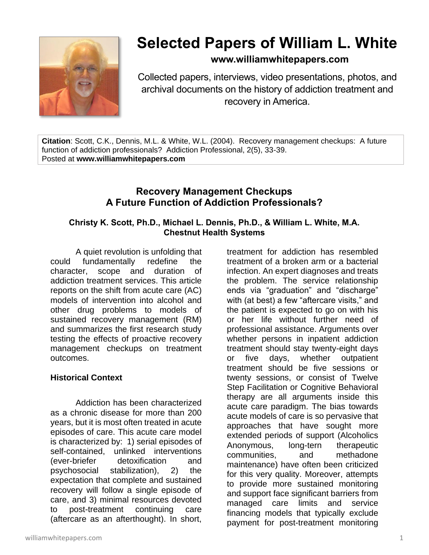

# **Selected Papers of William L. White**

## **www.williamwhitepapers.com**

Collected papers, interviews, video presentations, photos, and archival documents on the history of addiction treatment and recovery in America.

**Citation**: Scott, C.K., Dennis, M.L. & White, W.L. (2004). Recovery management checkups: A future function of addiction professionals? Addiction Professional, 2(5), 33-39. Posted at **www.williamwhitepapers.com**

## **Recovery Management Checkups A Future Function of Addiction Professionals?**

### **Christy K. Scott, Ph.D., Michael L. Dennis, Ph.D., & William L. White, M.A. Chestnut Health Systems**

A quiet revolution is unfolding that could fundamentally redefine the character, scope and duration of addiction treatment services. This article reports on the shift from acute care (AC) models of intervention into alcohol and other drug problems to models of sustained recovery management (RM) and summarizes the first research study testing the effects of proactive recovery management checkups on treatment outcomes.

### **Historical Context**

Addiction has been characterized as a chronic disease for more than 200 years, but it is most often treated in acute episodes of care. This acute care model is characterized by: 1) serial episodes of self-contained, unlinked interventions (ever-briefer detoxification and psychosocial stabilization), 2) the expectation that complete and sustained recovery will follow a single episode of care, and 3) minimal resources devoted to post-treatment continuing care (aftercare as an afterthought). In short,

treatment for addiction has resembled treatment of a broken arm or a bacterial infection. An expert diagnoses and treats the problem. The service relationship ends via "graduation" and "discharge" with (at best) a few "aftercare visits," and the patient is expected to go on with his or her life without further need of professional assistance. Arguments over whether persons in inpatient addiction treatment should stay twenty-eight days or five days, whether outpatient treatment should be five sessions or twenty sessions, or consist of Twelve Step Facilitation or Cognitive Behavioral therapy are all arguments inside this acute care paradigm. The bias towards acute models of care is so pervasive that approaches that have sought more extended periods of support (Alcoholics Anonymous, long-tern therapeutic communities, and methadone maintenance) have often been criticized for this very quality. Moreover, attempts to provide more sustained monitoring and support face significant barriers from managed care limits and service financing models that typically exclude payment for post-treatment monitoring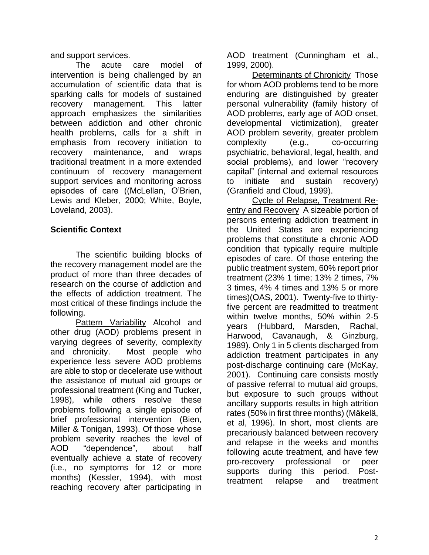and support services.

The acute care model of intervention is being challenged by an accumulation of scientific data that is sparking calls for models of sustained recovery management. This latter approach emphasizes the similarities between addiction and other chronic health problems, calls for a shift in emphasis from recovery initiation to recovery maintenance, and wraps traditional treatment in a more extended continuum of recovery management support services and monitoring across episodes of care ((McLellan, O'Brien, Lewis and Kleber, 2000; White, Boyle, Loveland, 2003).

## **Scientific Context**

The scientific building blocks of the recovery management model are the product of more than three decades of research on the course of addiction and the effects of addiction treatment. The most critical of these findings include the following.

Pattern Variability Alcohol and other drug (AOD) problems present in varying degrees of severity, complexity and chronicity. Most people who experience less severe AOD problems are able to stop or decelerate use without the assistance of mutual aid groups or professional treatment (King and Tucker, 1998), while others resolve these problems following a single episode of brief professional intervention (Bien, Miller & Tonigan, 1993). Of those whose problem severity reaches the level of AOD "dependence", about half eventually achieve a state of recovery (i.e., no symptoms for 12 or more months) (Kessler, 1994), with most reaching recovery after participating in AOD treatment (Cunningham et al., 1999, 2000).

Determinants of Chronicity Those for whom AOD problems tend to be more enduring are distinguished by greater personal vulnerability (family history of AOD problems, early age of AOD onset, developmental victimization), greater AOD problem severity, greater problem complexity (e.g., co-occurring psychiatric, behavioral, legal, health, and social problems), and lower "recovery capital" (internal and external resources to initiate and sustain recovery) (Granfield and Cloud, 1999).

Cycle of Relapse, Treatment Reentry and Recovery A sizeable portion of persons entering addiction treatment in the United States are experiencing problems that constitute a chronic AOD condition that typically require multiple episodes of care. Of those entering the public treatment system, 60% report prior treatment (23% 1 time; 13% 2 times, 7% 3 times, 4% 4 times and 13% 5 or more times)(OAS, 2001). Twenty-five to thirtyfive percent are readmitted to treatment within twelve months, 50% within 2-5 years (Hubbard, Marsden, Rachal, Harwood, Cavanaugh, & Ginzburg, 1989). Only 1 in 5 clients discharged from addiction treatment participates in any post-discharge continuing care (McKay, 2001). Continuing care consists mostly of passive referral to mutual aid groups, but exposure to such groups without ancillary supports results in high attrition rates (50% in first three months) (Mäkelä, et al, 1996). In short, most clients are precariously balanced between recovery and relapse in the weeks and months following acute treatment, and have few pro-recovery professional or peer supports during this period. Posttreatment relapse and treatment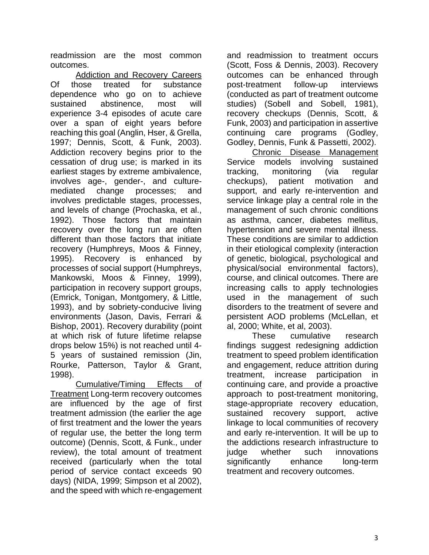readmission are the most common outcomes.

Addiction and Recovery Careers Of those treated for substance dependence who go on to achieve sustained abstinence, most will experience 3-4 episodes of acute care over a span of eight years before reaching this goal (Anglin, Hser, & Grella, 1997; Dennis, Scott, & Funk, 2003). Addiction recovery begins prior to the cessation of drug use; is marked in its earliest stages by extreme ambivalence, involves age-, gender-, and culturemediated change processes; and involves predictable stages, processes, and levels of change (Prochaska, et al., 1992). Those factors that maintain recovery over the long run are often different than those factors that initiate recovery (Humphreys, Moos & Finney, 1995). Recovery is enhanced by processes of social support (Humphreys, Mankowski, Moos & Finney, 1999), participation in recovery support groups, (Emrick, Tonigan, Montgomery, & Little, 1993), and by sobriety-conducive living environments (Jason, Davis, Ferrari & Bishop, 2001). Recovery durability (point at which risk of future lifetime relapse drops below 15%) is not reached until 4- 5 years of sustained remission (Jin, Rourke, Patterson, Taylor & Grant, 1998).

Cumulative/Timing Effects of Treatment Long-term recovery outcomes are influenced by the age of first treatment admission (the earlier the age of first treatment and the lower the years of regular use, the better the long term outcome) (Dennis, Scott, & Funk., under review), the total amount of treatment received (particularly when the total period of service contact exceeds 90 days) (NIDA, 1999; Simpson et al 2002), and the speed with which re-engagement and readmission to treatment occurs (Scott, Foss & Dennis, 2003). Recovery outcomes can be enhanced through post-treatment follow-up interviews (conducted as part of treatment outcome studies) (Sobell and Sobell, 1981), recovery checkups (Dennis, Scott, & Funk, 2003) and participation in assertive continuing care programs (Godley, Godley, Dennis, Funk & Passetti, 2002).

Chronic Disease Management Service models involving sustained tracking, monitoring (via regular checkups), patient motivation and support, and early re-intervention and service linkage play a central role in the management of such chronic conditions as asthma, cancer, diabetes mellitus, hypertension and severe mental illness. These conditions are similar to addiction in their etiological complexity (interaction of genetic, biological, psychological and physical/social environmental factors), course, and clinical outcomes. There are increasing calls to apply technologies used in the management of such disorders to the treatment of severe and persistent AOD problems (McLellan, et al, 2000; White, et al, 2003).

These cumulative research findings suggest redesigning addiction treatment to speed problem identification and engagement, reduce attrition during treatment, increase participation in continuing care, and provide a proactive approach to post-treatment monitoring, stage-appropriate recovery education, sustained recovery support, active linkage to local communities of recovery and early re-intervention. It will be up to the addictions research infrastructure to judge whether such innovations significantly enhance long-term treatment and recovery outcomes.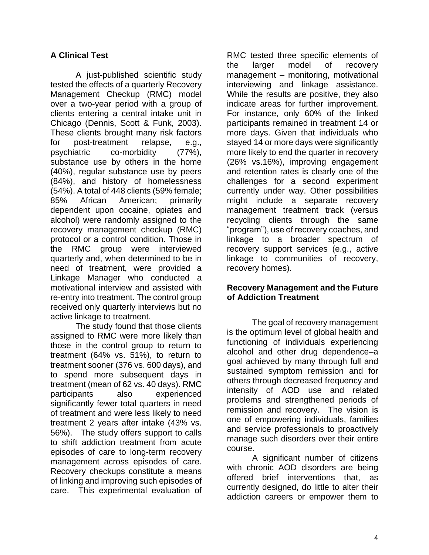## **A Clinical Test**

A just-published scientific study tested the effects of a quarterly Recovery Management Checkup (RMC) model over a two-year period with a group of clients entering a central intake unit in Chicago (Dennis, Scott & Funk, 2003). These clients brought many risk factors for post-treatment relapse, e.g., psychiatric co-morbidity (77%), substance use by others in the home (40%), regular substance use by peers (84%), and history of homelessness (54%). A total of 448 clients (59% female; 85% African American; primarily dependent upon cocaine, opiates and alcohol) were randomly assigned to the recovery management checkup (RMC) protocol or a control condition. Those in the RMC group were interviewed quarterly and, when determined to be in need of treatment, were provided a Linkage Manager who conducted a motivational interview and assisted with re-entry into treatment. The control group received only quarterly interviews but no active linkage to treatment.

The study found that those clients assigned to RMC were more likely than those in the control group to return to treatment (64% vs. 51%), to return to treatment sooner (376 vs. 600 days), and to spend more subsequent days in treatment (mean of 62 vs. 40 days). RMC participants also experienced significantly fewer total quarters in need of treatment and were less likely to need treatment 2 years after intake (43% vs. 56%). The study offers support to calls to shift addiction treatment from acute episodes of care to long-term recovery management across episodes of care. Recovery checkups constitute a means of linking and improving such episodes of care. This experimental evaluation of RMC tested three specific elements of the larger model of recovery management – monitoring, motivational interviewing and linkage assistance. While the results are positive, they also indicate areas for further improvement. For instance, only 60% of the linked participants remained in treatment 14 or more days. Given that individuals who stayed 14 or more days were significantly more likely to end the quarter in recovery (26% vs.16%), improving engagement and retention rates is clearly one of the challenges for a second experiment currently under way. Other possibilities might include a separate recovery management treatment track (versus recycling clients through the same "program"), use of recovery coaches, and linkage to a broader spectrum of recovery support services (e.g., active linkage to communities of recovery, recovery homes).

#### **Recovery Management and the Future of Addiction Treatment**

The goal of recovery management is the optimum level of global health and functioning of individuals experiencing alcohol and other drug dependence–a goal achieved by many through full and sustained symptom remission and for others through decreased frequency and intensity of AOD use and related problems and strengthened periods of remission and recovery. The vision is one of empowering individuals, families and service professionals to proactively manage such disorders over their entire course.

A significant number of citizens with chronic AOD disorders are being offered brief interventions that, as currently designed, do little to alter their addiction careers or empower them to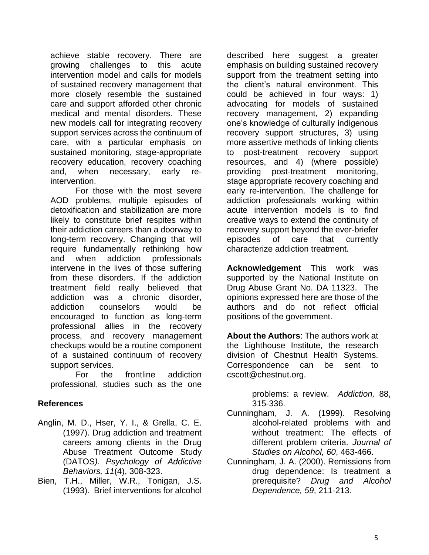achieve stable recovery. There are growing challenges to this acute intervention model and calls for models of sustained recovery management that more closely resemble the sustained care and support afforded other chronic medical and mental disorders. These new models call for integrating recovery support services across the continuum of care, with a particular emphasis on sustained monitoring, stage-appropriate recovery education, recovery coaching and, when necessary, early reintervention.

For those with the most severe AOD problems, multiple episodes of detoxification and stabilization are more likely to constitute brief respites within their addiction careers than a doorway to long-term recovery. Changing that will require fundamentally rethinking how and when addiction professionals intervene in the lives of those suffering from these disorders. If the addiction treatment field really believed that addiction was a chronic disorder, addiction counselors would be encouraged to function as long-term professional allies in the recovery process, and recovery management checkups would be a routine component of a sustained continuum of recovery support services.

For the frontline addiction professional, studies such as the one

## **References**

- Anglin, M. D., Hser, Y. I., & Grella, C. E. (1997). Drug addiction and treatment careers among clients in the Drug Abuse Treatment Outcome Study (DATOS*). Psychology of Addictive Behaviors, 11*(4), 308-323.
- Bien, T.H., Miller, W.R., Tonigan, J.S. (1993). Brief interventions for alcohol

described here suggest a greater emphasis on building sustained recovery support from the treatment setting into the client's natural environment. This could be achieved in four ways: 1) advocating for models of sustained recovery management, 2) expanding one's knowledge of culturally indigenous recovery support structures, 3) using more assertive methods of linking clients to post-treatment recovery support resources, and 4) (where possible) providing post-treatment monitoring, stage appropriate recovery coaching and early re-intervention. The challenge for addiction professionals working within acute intervention models is to find creative ways to extend the continuity of recovery support beyond the ever-briefer episodes of care that currently characterize addiction treatment.

**Acknowledgement** This work was supported by the National Institute on Drug Abuse Grant No. DA 11323. The opinions expressed here are those of the authors and do not reflect official positions of the government.

**About the Authors**: The authors work at the Lighthouse Institute, the research division of Chestnut Health Systems. Correspondence can be sent to cscott@chestnut.org.

> problems: a review. *Addiction,* 88, 315-336.

- Cunningham, J. A. (1999). Resolving alcohol-related problems with and without treatment: The effects of different problem criteria. *Journal of Studies on Alcohol, 60*, 463-466.
- Cunningham, J. A. (2000). Remissions from drug dependence: Is treatment a prerequisite? *Drug and Alcohol Dependence, 59*, 211-213.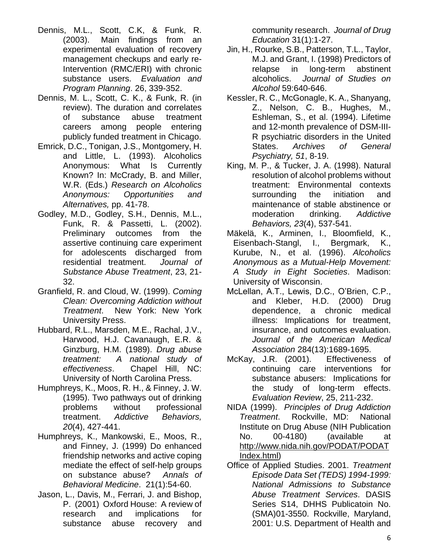- Dennis, M.L., Scott, C.K, & Funk, R. (2003). Main findings from an experimental evaluation of recovery management checkups and early re-Intervention (RMC/ERI) with chronic substance users. *Evaluation and Program Planning*. 26, 339-352.
- Dennis, M. L., Scott, C. K., & Funk, R. (in review). The duration and correlates of substance abuse treatment careers among people entering publicly funded treatment in Chicago.
- Emrick, D.C., Tonigan, J.S., Montgomery, H. and Little, L. (1993). Alcoholics Anonymous: What Is Currently Known? In: McCrady, B. and Miller, W.R. (Eds.) *Research on Alcoholics Anonymous: Opportunities and Alternatives,* pp. 41-78.
- Godley, M.D., Godley, S.H., Dennis, M.L., Funk, R. & Passetti, L. (2002). Preliminary outcomes from the assertive continuing care experiment for adolescents discharged from residential treatment. *Journal of Substance Abuse Treatment*, 23, 21- 32.
- Granfield, R. and Cloud, W. (1999). *Coming Clean: Overcoming Addiction without Treatment*. New York: New York University Press.
- Hubbard, R.L., Marsden, M.E., Rachal, J.V., Harwood, H.J. Cavanaugh, E.R. & Ginzburg, H.M. (1989). *Drug abuse treatment: A national study of effectiveness*. Chapel Hill, NC: University of North Carolina Press.
- Humphreys, K., Moos, R. H., & Finney, J. W. (1995). Two pathways out of drinking problems without professional treatment. *Addictive Behaviors, 20*(4), 427-441.
- Humphreys, K., Mankowski, E., Moos, R., and Finney, J. (1999) Do enhanced friendship networks and active coping mediate the effect of self-help groups on substance abuse? *Annals of Behavioral Medicine*. 21(1):54-60.
- Jason, L., Davis, M., Ferrari, J. and Bishop, P. (2001) Oxford House: A review of research and implications for substance abuse recovery and

community research. *Journal of Drug Education* 31(1):1-27.

- Jin, H., Rourke, S.B., Patterson, T.L., Taylor, M.J. and Grant, I. (1998) Predictors of relapse in long-term abstinent alcoholics. *Journal of Studies on Alcohol* 59:640-646.
- Kessler, R. C., McGonagle, K. A., Shanyang, Z., Nelson, C. B., Hughes, M., Eshleman, S., et al. (1994). Lifetime and 12-month prevalence of DSM-III-R psychiatric disorders in the United States. *Archives of General Psychiatry, 51*, 8-19.
- King, M. P., & Tucker, J. A. (1998). Natural resolution of alcohol problems without treatment: Environmental contexts surrounding the initiation and maintenance of stable abstinence or moderation drinking. *Addictive Behaviors, 23*(4), 537-541.
- Mäkelä, K., Arminen, I., Bloomfield, K., Eisenbach-Stangl, I., Bergmark, K., Kurube, N., et al. (1996). *Alcoholics Anonymous as a Mutual-Help Movement: A Study in Eight Societies*. Madison: University of Wisconsin.
- McLellan, A.T., Lewis, D.C., O'Brien, C.P., and Kleber, H.D. (2000) Drug dependence, a chronic medical illness: Implications for treatment, insurance, and outcomes evaluation. *Journal of the American Medical Association* 284(13):1689-1695.
- McKay, J.R. (2001). Effectiveness of continuing care interventions for substance abusers: Implications for the study of long-term effects. *Evaluation Review*, 25, 211-232.
- NIDA (1999). *Principles of Drug Addiction Treatment*. Rockville, MD: National Institute on Drug Abuse (NIH Publication No. 00-4180) (available at [http://www.nida.nih.gov/PODAT/PODAT](http://www.nida.nih.gov/PODAT/PODATIndex.html) [Index.html\)](http://www.nida.nih.gov/PODAT/PODATIndex.html)
- Office of Applied Studies. 2001. *Treatment Episode Data Set (TEDS) 1994-1999: National Admissions to Substance Abuse Treatment Services*. DASIS Series S14, DHHS Publicatoin No. (SMA)01-3550. Rockville, Maryland, 2001: U.S. Department of Health and